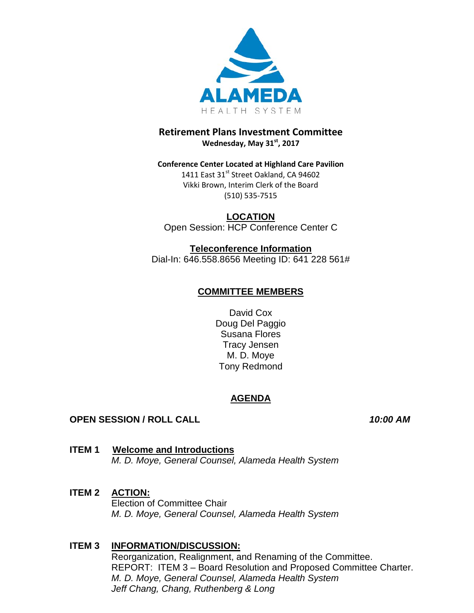

## **Retirement Plans Investment Committee Wednesday, May 31st, 2017**

## **Conference Center Located at Highland Care Pavilion** 1411 East 31st Street Oakland, CA 94602 Vikki Brown, Interim Clerk of the Board (510) 535-7515

**LOCATION** Open Session: HCP Conference Center C

**Teleconference Information** Dial-In: 646.558.8656 Meeting ID: 641 228 561#

# **COMMITTEE MEMBERS**

David Cox Doug Del Paggio Susana Flores Tracy Jensen M. D. Moye Tony Redmond

# **AGENDA**

# **OPEN SESSION / ROLL CALL** *10:00 AM*

**ITEM 1 Welcome and Introductions**  *M. D. Moye, General Counsel, Alameda Health System*

## **ITEM 2 ACTION:**

Election of Committee Chair *M. D. Moye, General Counsel, Alameda Health System*

# **ITEM 3 INFORMATION/DISCUSSION:**

Reorganization, Realignment, and Renaming of the Committee. REPORT: ITEM 3 – Board Resolution and Proposed Committee Charter. *M. D. Moye, General Counsel, Alameda Health System Jeff Chang, Chang, Ruthenberg & Long*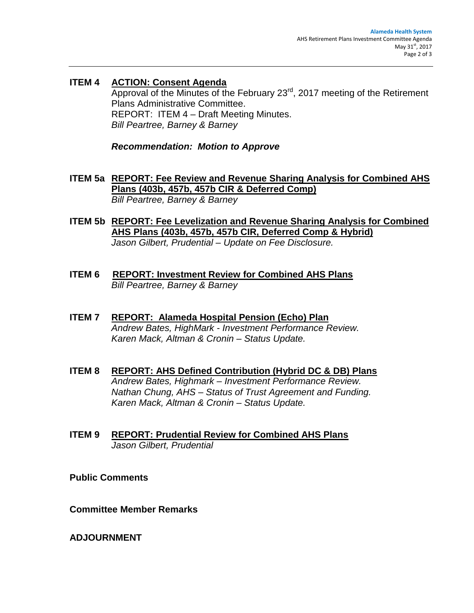**ITEM 4 ACTION: Consent Agenda** Approval of the Minutes of the February 23rd, 2017 meeting of the Retirement Plans Administrative Committee. REPORT: ITEM 4 – Draft Meeting Minutes. *Bill Peartree, Barney & Barney*

*Recommendation: Motion to Approve*

- **ITEM 5a REPORT: Fee Review and Revenue Sharing Analysis for Combined AHS Plans (403b, 457b, 457b CIR & Deferred Comp)** *Bill Peartree, Barney & Barney*
- **ITEM 5b REPORT: Fee Levelization and Revenue Sharing Analysis for Combined AHS Plans (403b, 457b, 457b CIR, Deferred Comp & Hybrid)** *Jason Gilbert, Prudential – Update on Fee Disclosure.*
- **ITEM 6 REPORT: Investment Review for Combined AHS Plans**  *Bill Peartree, Barney & Barney*
- **ITEM 7 REPORT: Alameda Hospital Pension (Echo) Plan** *Andrew Bates, HighMark - Investment Performance Review. Karen Mack, Altman & Cronin – Status Update.*
- **ITEM 8 REPORT: AHS Defined Contribution (Hybrid DC & DB) Plans** *Andrew Bates, Highmark – Investment Performance Review. Nathan Chung, AHS – Status of Trust Agreement and Funding. Karen Mack, Altman & Cronin – Status Update.*
- **ITEM 9 REPORT: Prudential Review for Combined AHS Plans** *Jason Gilbert, Prudential*

**Public Comments** 

**Committee Member Remarks** 

**ADJOURNMENT**